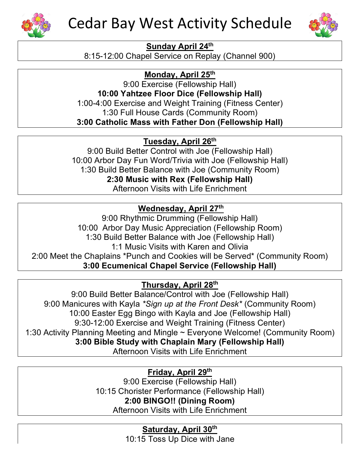



#### **Sunday April 24th**

8:15-12:00 Chapel Service on Replay (Channel 900)

**Monday, April 25th** 

9:00 Exercise (Fellowship Hall) **10:00 Yahtzee Floor Dice (Fellowship Hall)** 1:00-4:00 Exercise and Weight Training (Fitness Center) 1:30 Full House Cards (Community Room) **3:00 Catholic Mass with Father Don (Fellowship Hall)**

**Tuesday, April 26th**

9:00 Build Better Control with Joe (Fellowship Hall) 10:00 Arbor Day Fun Word/Trivia with Joe (Fellowship Hall) 1:30 Build Better Balance with Joe (Community Room) **2:30 Music with Rex (Fellowship Hall)** Afternoon Visits with Life Enrichment

### **Wednesday, April 27th**

9:00 Rhythmic Drumming (Fellowship Hall) 10:00 Arbor Day Music Appreciation (Fellowship Room) 1:30 Build Better Balance with Joe (Fellowship Hall) 1:1 Music Visits with Karen and Olivia 2:00 Meet the Chaplains \*Punch and Cookies will be Served\* (Community Room) **3:00 Ecumenical Chapel Service (Fellowship Hall)**

### **Thursday, April 28th**

9:00 Build Better Balance/Control with Joe (Fellowship Hall) 9:00 Manicures with Kayla *\*Sign up at the Front Desk\** (Community Room) 10:00 Easter Egg Bingo with Kayla and Joe (Fellowship Hall) 9:30-12:00 Exercise and Weight Training (Fitness Center) 1:30 Activity Planning Meeting and Mingle ~ Everyone Welcome! (Community Room) **3:00 Bible Study with Chaplain Mary (Fellowship Hall)** Afternoon Visits with Life Enrichment

**Friday, April 29th** 

9:00 Exercise (Fellowship Hall) 10:15 Chorister Performance (Fellowship Hall) **2:00 BINGO!! (Dining Room)** Afternoon Visits with Life Enrichment